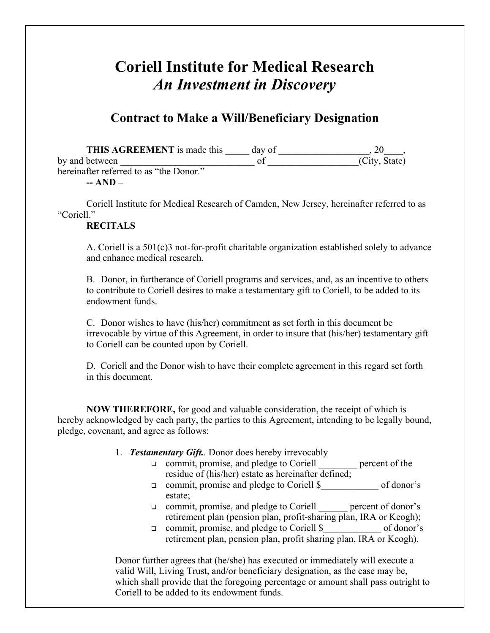## **Coriell Institute for Medical Research**  *An Investment in Discovery*

## **Contract to Make a Will/Beneficiary Designation**

THIS AGREEMENT is made this day of the same contains the same contains a set of the same contains the same contains  $(20 - 1)$ , by and between  $\qquad \qquad$  of  $\qquad \qquad$  (City, State) hereinafter referred to as "the Donor."

**-- AND –** 

Coriell Institute for Medical Research of Camden, New Jersey, hereinafter referred to as "Coriell"

## **RECITALS**

A. Coriell is a 501(c)3 not-for-profit charitable organization established solely to advance and enhance medical research.

B. Donor, in furtherance of Coriell programs and services, and, as an incentive to others to contribute to Coriell desires to make a testamentary gift to Coriell, to be added to its endowment funds.

C. Donor wishes to have (his/her) commitment as set forth in this document be irrevocable by virtue of this Agreement, in order to insure that (his/her) testamentary gift to Coriell can be counted upon by Coriell.

D. Coriell and the Donor wish to have their complete agreement in this regard set forth in this document.

**NOW THEREFORE,** for good and valuable consideration, the receipt of which is hereby acknowledged by each party, the parties to this Agreement, intending to be legally bound, pledge, covenant, and agree as follows:

- 1. *Testamentary Gift..* Donor does hereby irrevocably
	- commit, promise, and pledge to Coriell \_\_\_\_\_\_\_\_ percent of the residue of (his/her) estate as hereinafter defined;
	- commit, promise and pledge to Coriell \$\_\_\_\_\_\_\_\_\_\_\_\_ of donor's estate;
	- commit, promise, and pledge to Coriell \_\_\_\_\_\_ percent of donor's retirement plan (pension plan, profit-sharing plan, IRA or Keogh);
	- commit, promise, and pledge to Coriell \$\_\_\_\_\_\_\_\_\_\_\_\_ of donor's retirement plan, pension plan, profit sharing plan, IRA or Keogh).

Donor further agrees that (he/she) has executed or immediately will execute a valid Will, Living Trust, and/or beneficiary designation, as the case may be, which shall provide that the foregoing percentage or amount shall pass outright to Coriell to be added to its endowment funds.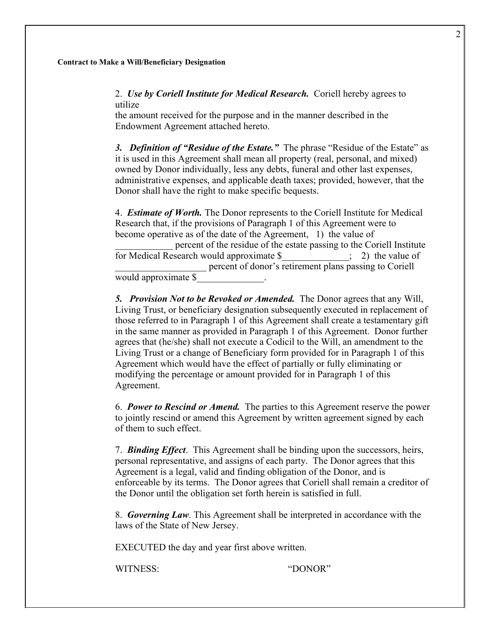## **Contract to Make a Will/Beneficiary Designation**

2. *Use by Coriell Institute for Medical Research.* Coriell hereby agrees to utilize

the amount received for the purpose and in the manner described in the Endowment Agreement attached hereto.

*3. Definition of "Residue of the Estate."* The phrase "Residue of the Estate" as it is used in this Agreement shall mean all property (real, personal, and mixed) owned by Donor individually, less any debts, funeral and other last expenses, administrative expenses, and applicable death taxes; provided, however, that the Donor shall have the right to make specific bequests.

4. *Estimate of Worth.* The Donor represents to the Coriell Institute for Medical Research that, if the provisions of Paragraph 1 of this Agreement were to become operative as of the date of the Agreement, 1) the value of \_\_\_\_\_\_\_\_\_\_\_\_ percent of the residue of the estate passing to the Coriell Institute for Medical Research would approximate  $\$$   $\quad$   $\quad$   $\quad$  2) the value of percent of donor's retirement plans passing to Coriell would approximate \$\_\_\_\_\_\_\_\_\_\_\_\_\_\_.

*5. Provision Not to be Revoked or Amended.* The Donor agrees that any Will, Living Trust, or beneficiary designation subsequently executed in replacement of those referred to in Paragraph 1 of this Agreement shall create a testamentary gift in the same manner as provided in Paragraph 1 of this Agreement. Donor further agrees that (he/she) shall not execute a Codicil to the Will, an amendment to the Living Trust or a change of Beneficiary form provided for in Paragraph 1 of this Agreement which would have the effect of partially or fully eliminating or modifying the percentage or amount provided for in Paragraph 1 of this Agreement.

6.*Power to Rescind or Amend.* The parties to this Agreement reserve the power to jointly rescind or amend this Agreement by written agreement signed by each of them to such effect.

7. *Binding Effect*. This Agreement shall be binding upon the successors, heirs, personal representative, and assigns of each party. The Donor agrees that this Agreement is a legal, valid and finding obligation of the Donor, and is enforceable by its terms. The Donor agrees that Coriell shall remain a creditor of the Donor until the obligation set forth herein is satisfied in full.

8. *Governing Law*. This Agreement shall be interpreted in accordance with the laws of the State of New Jersey.

EXECUTED the day and year first above written.

WITNESS<sup>-</sup> "DONOR"